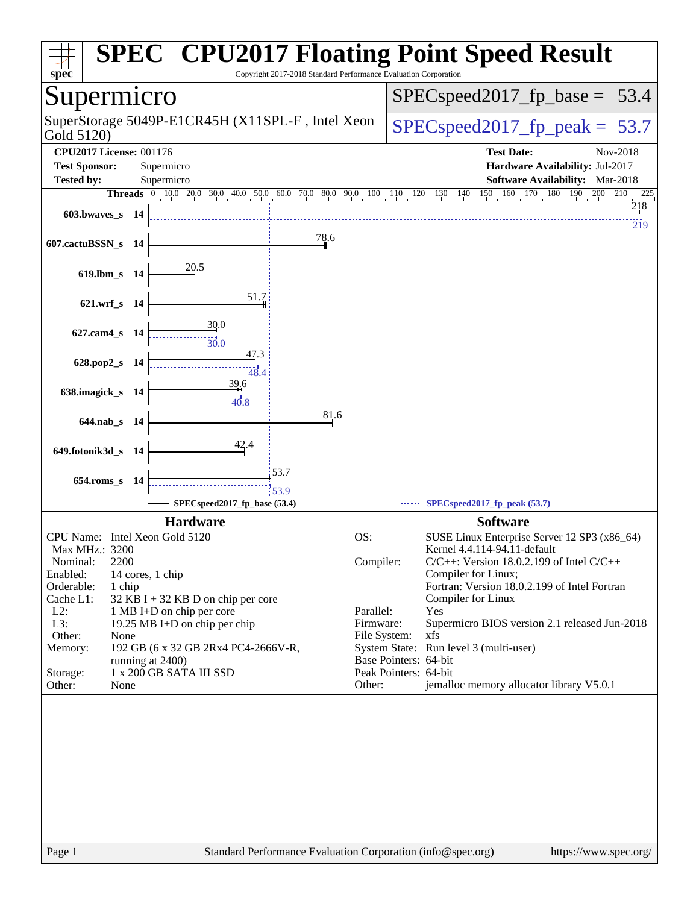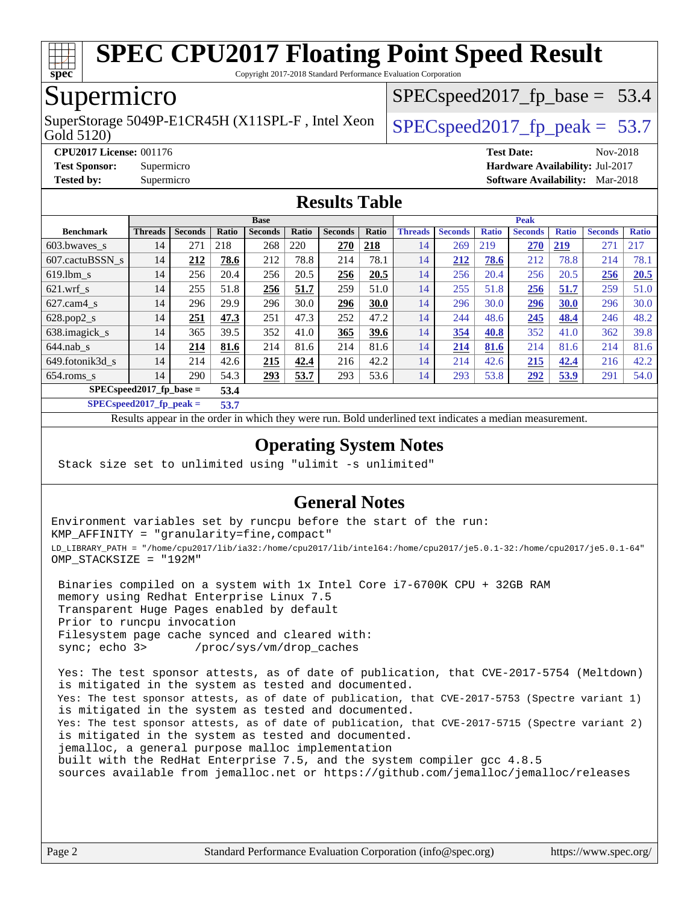

Copyright 2017-2018 Standard Performance Evaluation Corporation

## Supermicro

Gold 5120) SuperStorage 5049P-E1CR45H (X11SPL-F, Intel Xeon  $\big|$  SPECspeed2017 fp\_peak = 53.7

 $SPECspeed2017_fp\_base = 53.4$ 

**[CPU2017 License:](http://www.spec.org/auto/cpu2017/Docs/result-fields.html#CPU2017License)** 001176 **[Test Date:](http://www.spec.org/auto/cpu2017/Docs/result-fields.html#TestDate)** Nov-2018

**[Test Sponsor:](http://www.spec.org/auto/cpu2017/Docs/result-fields.html#TestSponsor)** Supermicro **[Hardware Availability:](http://www.spec.org/auto/cpu2017/Docs/result-fields.html#HardwareAvailability)** Jul-2017

**[Tested by:](http://www.spec.org/auto/cpu2017/Docs/result-fields.html#Testedby)** Supermicro **[Software Availability:](http://www.spec.org/auto/cpu2017/Docs/result-fields.html#SoftwareAvailability)** Mar-2018

#### **[Results Table](http://www.spec.org/auto/cpu2017/Docs/result-fields.html#ResultsTable)**

|                  |                                    | <b>Base</b>    |       |                |       |                | <b>Peak</b> |                |                |              |                |              |                |              |
|------------------|------------------------------------|----------------|-------|----------------|-------|----------------|-------------|----------------|----------------|--------------|----------------|--------------|----------------|--------------|
| <b>Benchmark</b> | <b>Threads</b>                     | <b>Seconds</b> | Ratio | <b>Seconds</b> | Ratio | <b>Seconds</b> | Ratio       | <b>Threads</b> | <b>Seconds</b> | <b>Ratio</b> | <b>Seconds</b> | <b>Ratio</b> | <b>Seconds</b> | <b>Ratio</b> |
| $603.bwaves$ s   | 14                                 | 271            | 218   | 268            | 220   | 270            | 218         | 14             | 269            | 219          | 270            | <u>219</u>   | 271            | 217          |
| 607.cactuBSSN s  | 14                                 | 212            | 78.6  | 212            | 78.8  | 214            | 78.1        | 14             | 212            | 78.6         | 212            | 78.8         | 214            | 78.1         |
| $619.$ lbm s     | 14                                 | 256            | 20.4  | 256            | 20.5  | 256            | 20.5        | 14             | 256            | 20.4         | 256            | 20.5         | 256            | 20.5         |
| $621$ .wrf s     | 14                                 | 255            | 51.8  | 256            | 51.7  | 259            | 51.0        | 14             | 255            | 51.8         | 256            | 51.7         | 259            | 51.0         |
| $627$ .cam4 s    | 14                                 | 296            | 29.9  | 296            | 30.0  | 296            | 30.0        | 14             | 296            | 30.0         | 296            | 30.0         | 296            | 30.0         |
| $628.pop2_s$     | 14                                 | 251            | 47.3  | 251            | 47.3  | 252            | 47.2        | 14             | 244            | 48.6         | 245            | 48.4         | 246            | 48.2         |
| 638.imagick_s    | 14                                 | 365            | 39.5  | 352            | 41.0  | 365            | 39.6        | 14             | 354            | 40.8         | 352            | 41.0         | 362            | 39.8         |
| $644$ .nab s     | 14                                 | 214            | 81.6  | 214            | 81.6  | 214            | 81.6        | 14             | 214            | 81.6         | 214            | 81.6         | 214            | 81.6         |
| 649.fotonik3d s  | 14                                 | 214            | 42.6  | 215            | 42.4  | 216            | 42.2        | 14             | 214            | 42.6         | 215            | 42.4         | 216            | 42.2         |
| $654$ .roms s    | 14                                 | 290            | 54.3  | 293            | 53.7  | 293            | 53.6        | 14             | 293            | 53.8         | 292            | 53.9         | 291            | 54.0         |
|                  | $SPEC speed2017$ fp base =<br>53.4 |                |       |                |       |                |             |                |                |              |                |              |                |              |

**[SPECspeed2017\\_fp\\_peak =](http://www.spec.org/auto/cpu2017/Docs/result-fields.html#SPECspeed2017fppeak) 53.7**

Results appear in the [order in which they were run.](http://www.spec.org/auto/cpu2017/Docs/result-fields.html#RunOrder) Bold underlined text [indicates a median measurement](http://www.spec.org/auto/cpu2017/Docs/result-fields.html#Median).

#### **[Operating System Notes](http://www.spec.org/auto/cpu2017/Docs/result-fields.html#OperatingSystemNotes)**

Stack size set to unlimited using "ulimit -s unlimited"

#### **[General Notes](http://www.spec.org/auto/cpu2017/Docs/result-fields.html#GeneralNotes)**

Environment variables set by runcpu before the start of the run: KMP\_AFFINITY = "granularity=fine,compact" LD\_LIBRARY\_PATH = "/home/cpu2017/lib/ia32:/home/cpu2017/lib/intel64:/home/cpu2017/je5.0.1-32:/home/cpu2017/je5.0.1-64" OMP\_STACKSIZE = "192M"

 Binaries compiled on a system with 1x Intel Core i7-6700K CPU + 32GB RAM memory using Redhat Enterprise Linux 7.5 Transparent Huge Pages enabled by default Prior to runcpu invocation Filesystem page cache synced and cleared with: sync; echo 3> /proc/sys/vm/drop\_caches

 Yes: The test sponsor attests, as of date of publication, that CVE-2017-5754 (Meltdown) is mitigated in the system as tested and documented. Yes: The test sponsor attests, as of date of publication, that CVE-2017-5753 (Spectre variant 1) is mitigated in the system as tested and documented. Yes: The test sponsor attests, as of date of publication, that CVE-2017-5715 (Spectre variant 2) is mitigated in the system as tested and documented. jemalloc, a general purpose malloc implementation built with the RedHat Enterprise 7.5, and the system compiler gcc 4.8.5 sources available from jemalloc.net or <https://github.com/jemalloc/jemalloc/releases>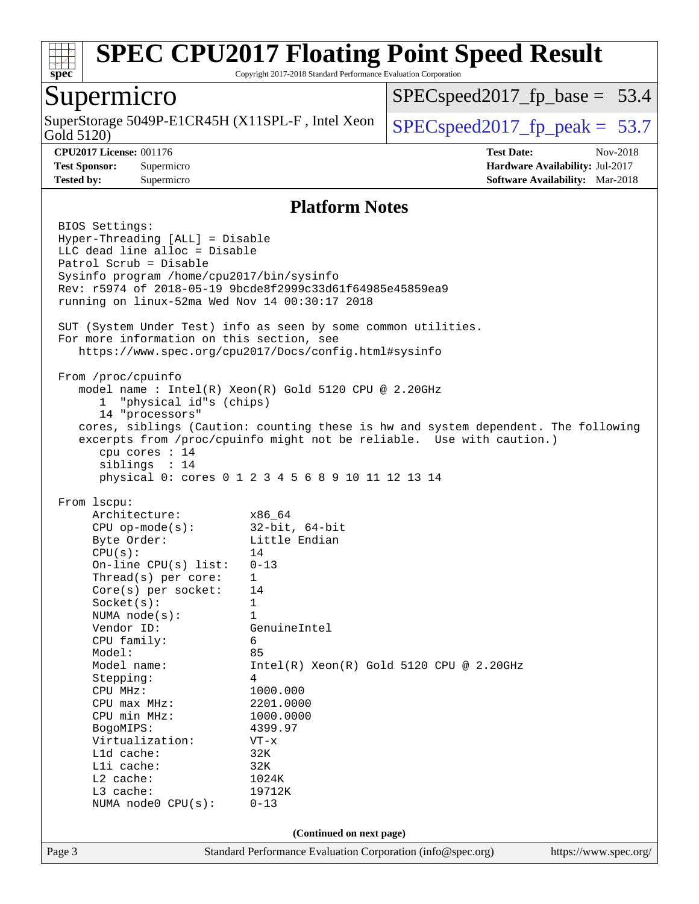

Copyright 2017-2018 Standard Performance Evaluation Corporation

### Supermicro

Gold 5120) SuperStorage 5049P-E1CR45H (X11SPL-F, Intel Xeon  $\Big|$  [SPECspeed2017\\_fp\\_peak =](http://www.spec.org/auto/cpu2017/Docs/result-fields.html#SPECspeed2017fppeak) 53.7

 $SPECspeed2017_fp\_base = 53.4$ 

**[CPU2017 License:](http://www.spec.org/auto/cpu2017/Docs/result-fields.html#CPU2017License)** 001176 **[Test Date:](http://www.spec.org/auto/cpu2017/Docs/result-fields.html#TestDate)** Nov-2018 **[Test Sponsor:](http://www.spec.org/auto/cpu2017/Docs/result-fields.html#TestSponsor)** Supermicro **[Hardware Availability:](http://www.spec.org/auto/cpu2017/Docs/result-fields.html#HardwareAvailability)** Jul-2017 **[Tested by:](http://www.spec.org/auto/cpu2017/Docs/result-fields.html#Testedby)** Supermicro **[Software Availability:](http://www.spec.org/auto/cpu2017/Docs/result-fields.html#SoftwareAvailability)** Mar-2018

#### **[Platform Notes](http://www.spec.org/auto/cpu2017/Docs/result-fields.html#PlatformNotes)**

Page 3 Standard Performance Evaluation Corporation [\(info@spec.org\)](mailto:info@spec.org) <https://www.spec.org/> BIOS Settings: Hyper-Threading [ALL] = Disable LLC dead line alloc = Disable Patrol Scrub = Disable Sysinfo program /home/cpu2017/bin/sysinfo Rev: r5974 of 2018-05-19 9bcde8f2999c33d61f64985e45859ea9 running on linux-52ma Wed Nov 14 00:30:17 2018 SUT (System Under Test) info as seen by some common utilities. For more information on this section, see <https://www.spec.org/cpu2017/Docs/config.html#sysinfo> From /proc/cpuinfo model name : Intel(R) Xeon(R) Gold 5120 CPU @ 2.20GHz 1 "physical id"s (chips) 14 "processors" cores, siblings (Caution: counting these is hw and system dependent. The following excerpts from /proc/cpuinfo might not be reliable. Use with caution.) cpu cores : 14 siblings : 14 physical 0: cores 0 1 2 3 4 5 6 8 9 10 11 12 13 14 From lscpu: Architecture: x86\_64 CPU op-mode(s): 32-bit, 64-bit Byte Order: Little Endian  $CPU(s):$  14 On-line CPU(s) list: 0-13 Thread(s) per core: 1 Core(s) per socket: 14 Socket(s): 1 NUMA node(s): 1 Vendor ID: GenuineIntel CPU family: 6 Model: 85 Model name: Intel(R) Xeon(R) Gold 5120 CPU @ 2.20GHz Stepping: 4 CPU MHz: 1000.000 CPU max MHz: 2201.0000 CPU min MHz: 1000.0000 BogoMIPS: 4399.97 Virtualization: VT-x L1d cache: 32K L1i cache: 32K L2 cache: 1024K L3 cache: 19712K NUMA node0 CPU(s): 0-13 **(Continued on next page)**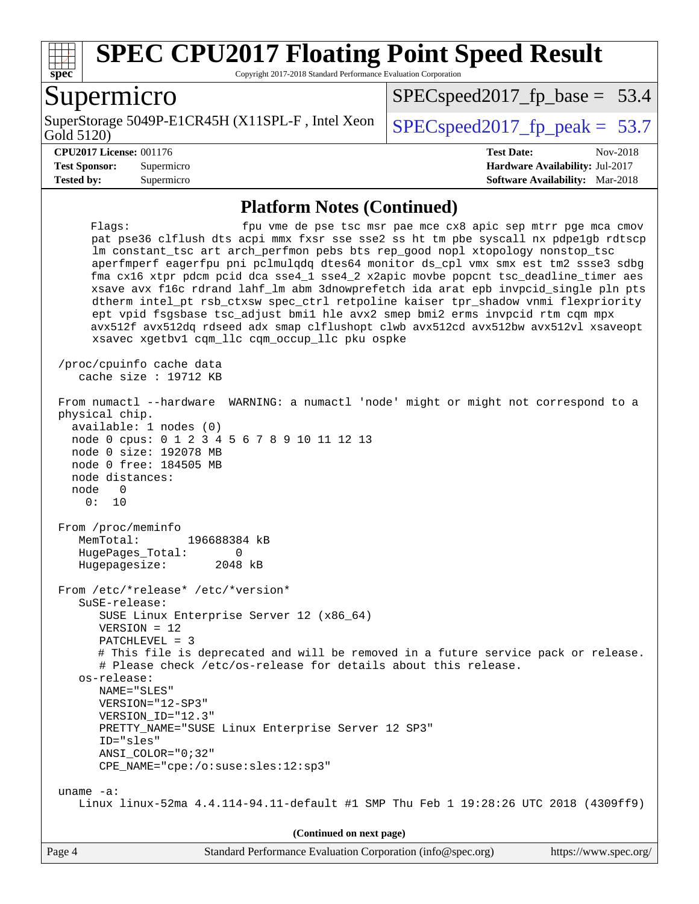

Copyright 2017-2018 Standard Performance Evaluation Corporation

### Supermicro

Gold 5120) SuperStorage 5049P-E1CR45H (X11SPL-F, Intel Xeon  $\big|$  SPECspeed2017 fp\_peak = 53.7

 $SPECspeed2017_fp\_base = 53.4$ 

**[Tested by:](http://www.spec.org/auto/cpu2017/Docs/result-fields.html#Testedby)** Supermicro **[Software Availability:](http://www.spec.org/auto/cpu2017/Docs/result-fields.html#SoftwareAvailability)** Mar-2018

**[CPU2017 License:](http://www.spec.org/auto/cpu2017/Docs/result-fields.html#CPU2017License)** 001176 **[Test Date:](http://www.spec.org/auto/cpu2017/Docs/result-fields.html#TestDate)** Nov-2018 **[Test Sponsor:](http://www.spec.org/auto/cpu2017/Docs/result-fields.html#TestSponsor)** Supermicro **[Hardware Availability:](http://www.spec.org/auto/cpu2017/Docs/result-fields.html#HardwareAvailability)** Jul-2017

#### **[Platform Notes \(Continued\)](http://www.spec.org/auto/cpu2017/Docs/result-fields.html#PlatformNotes)**

Flags: fpu vme de pse tsc msr pae mce cx8 apic sep mtrr pge mca cmov pat pse36 clflush dts acpi mmx fxsr sse sse2 ss ht tm pbe syscall nx pdpe1gb rdtscp lm constant\_tsc art arch\_perfmon pebs bts rep\_good nopl xtopology nonstop\_tsc aperfmperf eagerfpu pni pclmulqdq dtes64 monitor ds\_cpl vmx smx est tm2 ssse3 sdbg fma cx16 xtpr pdcm pcid dca sse4\_1 sse4\_2 x2apic movbe popcnt tsc\_deadline\_timer aes xsave avx f16c rdrand lahf\_lm abm 3dnowprefetch ida arat epb invpcid\_single pln pts dtherm intel\_pt rsb\_ctxsw spec\_ctrl retpoline kaiser tpr\_shadow vnmi flexpriority ept vpid fsgsbase tsc\_adjust bmi1 hle avx2 smep bmi2 erms invpcid rtm cqm mpx avx512f avx512dq rdseed adx smap clflushopt clwb avx512cd avx512bw avx512vl xsaveopt xsavec xgetbv1 cqm\_llc cqm\_occup\_llc pku ospke /proc/cpuinfo cache data cache size : 19712 KB From numactl --hardware WARNING: a numactl 'node' might or might not correspond to a physical chip. available: 1 nodes (0) node 0 cpus: 0 1 2 3 4 5 6 7 8 9 10 11 12 13 node 0 size: 192078 MB node 0 free: 184505 MB node distances: node 0 0: 10 From /proc/meminfo MemTotal: 196688384 kB HugePages\_Total: 0 Hugepagesize: 2048 kB From /etc/\*release\* /etc/\*version\* SuSE-release: SUSE Linux Enterprise Server 12 (x86\_64) VERSION = 12 PATCHLEVEL = 3 # This file is deprecated and will be removed in a future service pack or release. # Please check /etc/os-release for details about this release. os-release: NAME="SLES" VERSION="12-SP3" VERSION\_ID="12.3" PRETTY\_NAME="SUSE Linux Enterprise Server 12 SP3" ID="sles" ANSI\_COLOR="0;32" CPE\_NAME="cpe:/o:suse:sles:12:sp3" uname -a: Linux linux-52ma 4.4.114-94.11-default #1 SMP Thu Feb 1 19:28:26 UTC 2018 (4309ff9) **(Continued on next page)**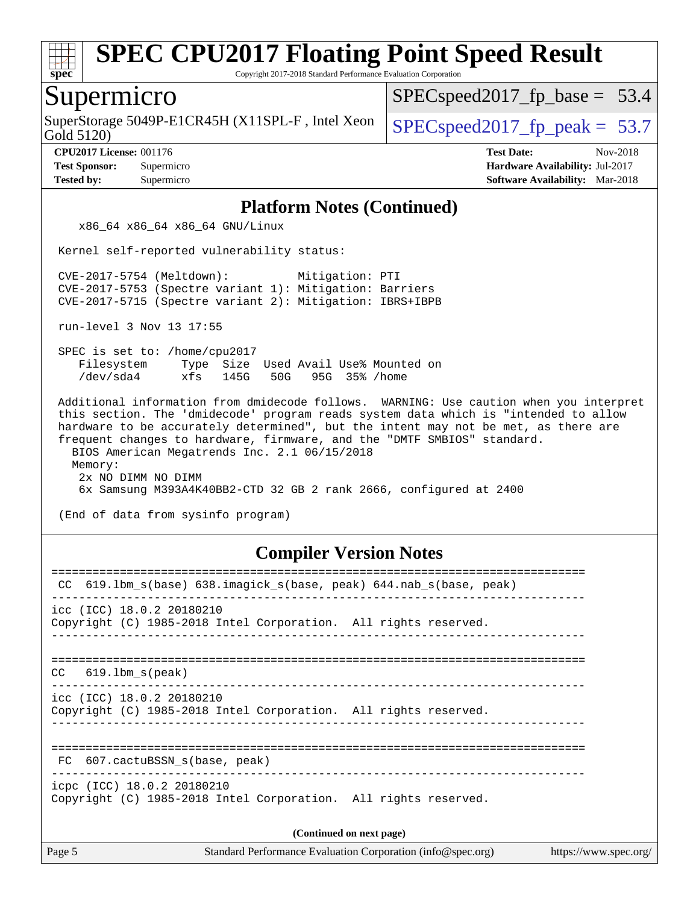

Copyright 2017-2018 Standard Performance Evaluation Corporation

#### Supermicro

Gold 5120) SuperStorage 5049P-E1CR45H (X11SPL-F, Intel Xeon  $\Big|$  [SPECspeed2017\\_fp\\_peak =](http://www.spec.org/auto/cpu2017/Docs/result-fields.html#SPECspeed2017fppeak) 53.7

 $SPECspeed2017_fp\_base = 53.4$ 

**[CPU2017 License:](http://www.spec.org/auto/cpu2017/Docs/result-fields.html#CPU2017License)** 001176 **[Test Date:](http://www.spec.org/auto/cpu2017/Docs/result-fields.html#TestDate)** Nov-2018

**[Test Sponsor:](http://www.spec.org/auto/cpu2017/Docs/result-fields.html#TestSponsor)** Supermicro **[Hardware Availability:](http://www.spec.org/auto/cpu2017/Docs/result-fields.html#HardwareAvailability)** Jul-2017 **[Tested by:](http://www.spec.org/auto/cpu2017/Docs/result-fields.html#Testedby)** Supermicro **[Software Availability:](http://www.spec.org/auto/cpu2017/Docs/result-fields.html#SoftwareAvailability)** Mar-2018

#### **[Platform Notes \(Continued\)](http://www.spec.org/auto/cpu2017/Docs/result-fields.html#PlatformNotes)**

x86\_64 x86\_64 x86\_64 GNU/Linux

Kernel self-reported vulnerability status:

 CVE-2017-5754 (Meltdown): Mitigation: PTI CVE-2017-5753 (Spectre variant 1): Mitigation: Barriers CVE-2017-5715 (Spectre variant 2): Mitigation: IBRS+IBPB

run-level 3 Nov 13 17:55

 SPEC is set to: /home/cpu2017 Filesystem Type Size Used Avail Use% Mounted on /dev/sda4 xfs 145G 50G 95G 35% /home

 Additional information from dmidecode follows. WARNING: Use caution when you interpret this section. The 'dmidecode' program reads system data which is "intended to allow hardware to be accurately determined", but the intent may not be met, as there are frequent changes to hardware, firmware, and the "DMTF SMBIOS" standard. BIOS American Megatrends Inc. 2.1 06/15/2018 Memory: 2x NO DIMM NO DIMM 6x Samsung M393A4K40BB2-CTD 32 GB 2 rank 2666, configured at 2400

(End of data from sysinfo program)

#### **[Compiler Version Notes](http://www.spec.org/auto/cpu2017/Docs/result-fields.html#CompilerVersionNotes)**

| 619.1bm s(base) 638.imagick s(base, peak) 644.nab s(base, peak)<br>CC                                 |  |  |  |  |  |
|-------------------------------------------------------------------------------------------------------|--|--|--|--|--|
| $\text{icc}$ (ICC) 18.0.2 20180210<br>Copyright (C) 1985-2018 Intel Corporation. All rights reserved. |  |  |  |  |  |
| 619.1bm s(peak)<br>CC.                                                                                |  |  |  |  |  |
| icc (ICC) 18.0.2 20180210<br>Copyright (C) 1985-2018 Intel Corporation. All rights reserved.          |  |  |  |  |  |
| FC 607. cactuBSSN s(base, peak)                                                                       |  |  |  |  |  |
| icpc (ICC) 18.0.2 20180210<br>Copyright (C) 1985-2018 Intel Corporation. All rights reserved.         |  |  |  |  |  |
| (Continued on next page)                                                                              |  |  |  |  |  |
|                                                                                                       |  |  |  |  |  |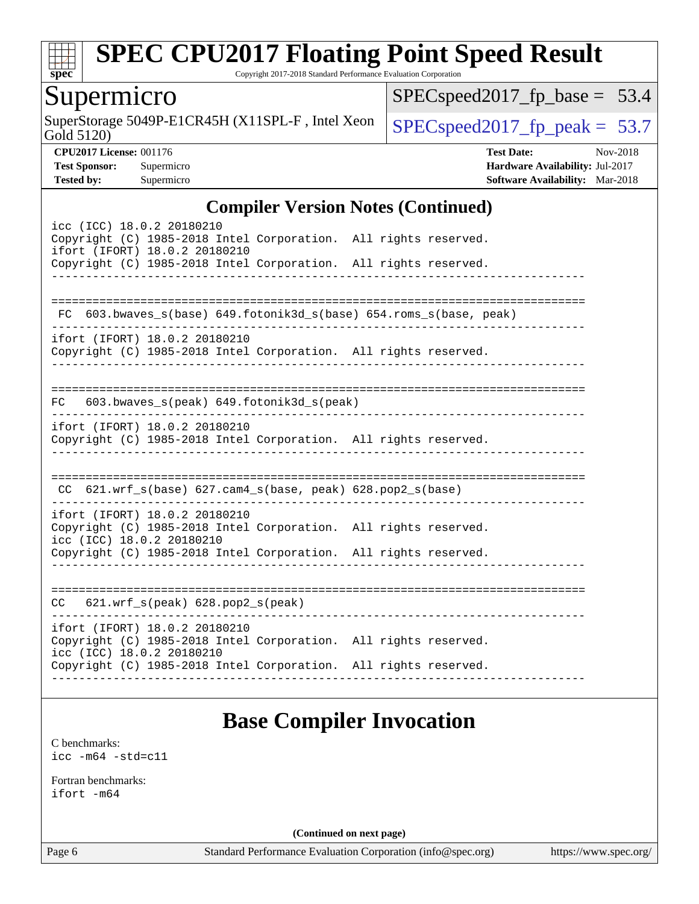

Copyright 2017-2018 Standard Performance Evaluation Corporation

## Supermicro

Gold 5120) SuperStorage 5049P-E1CR45H (X11SPL-F, Intel Xeon  $\left|$  [SPECspeed2017\\_fp\\_peak =](http://www.spec.org/auto/cpu2017/Docs/result-fields.html#SPECspeed2017fppeak) 53.7

[SPECspeed2017\\_fp\\_base =](http://www.spec.org/auto/cpu2017/Docs/result-fields.html#SPECspeed2017fpbase) 53.4

**[CPU2017 License:](http://www.spec.org/auto/cpu2017/Docs/result-fields.html#CPU2017License)** 001176 **[Test Date:](http://www.spec.org/auto/cpu2017/Docs/result-fields.html#TestDate)** Nov-2018 **[Test Sponsor:](http://www.spec.org/auto/cpu2017/Docs/result-fields.html#TestSponsor)** Supermicro **[Hardware Availability:](http://www.spec.org/auto/cpu2017/Docs/result-fields.html#HardwareAvailability)** Jul-2017 **[Tested by:](http://www.spec.org/auto/cpu2017/Docs/result-fields.html#Testedby)** Supermicro **[Software Availability:](http://www.spec.org/auto/cpu2017/Docs/result-fields.html#SoftwareAvailability)** Mar-2018

#### **[Compiler Version Notes \(Continued\)](http://www.spec.org/auto/cpu2017/Docs/result-fields.html#CompilerVersionNotes)**

| FC 603.bwaves_s(base) 649.fotonik3d_s(base) 654.roms_s(base, peak)<br>ifort (IFORT) 18.0.2 20180210<br>Copyright (C) 1985-2018 Intel Corporation. All rights reserved.<br>$FC$ 603.bwaves_s(peak) 649.fotonik3d_s(peak)<br>ifort (IFORT) 18.0.2 20180210<br>Copyright (C) 1985-2018 Intel Corporation. All rights reserved.<br>CC 621.wrf_s(base) 627.cam4_s(base, peak) 628.pop2_s(base)<br>ifort (IFORT) 18.0.2 20180210<br>Copyright (C) 1985-2018 Intel Corporation. All rights reserved.<br>icc (ICC) 18.0.2 20180210<br>Copyright (C) 1985-2018 Intel Corporation. All rights reserved.<br>621.wrf_s(peak) 628.pop2_s(peak)<br>CC<br>ifort (IFORT) 18.0.2 20180210<br>Copyright (C) 1985-2018 Intel Corporation. All rights reserved.<br>icc (ICC) 18.0.2 20180210<br>Copyright (C) 1985-2018 Intel Corporation. All rights reserved. | icc (ICC) 18.0.2 20180210<br>Copyright (C) 1985-2018 Intel Corporation. All rights reserved.<br>ifort (IFORT) 18.0.2 20180210<br>Copyright (C) 1985-2018 Intel Corporation. All rights reserved. |  |
|---------------------------------------------------------------------------------------------------------------------------------------------------------------------------------------------------------------------------------------------------------------------------------------------------------------------------------------------------------------------------------------------------------------------------------------------------------------------------------------------------------------------------------------------------------------------------------------------------------------------------------------------------------------------------------------------------------------------------------------------------------------------------------------------------------------------------------------------|--------------------------------------------------------------------------------------------------------------------------------------------------------------------------------------------------|--|
|                                                                                                                                                                                                                                                                                                                                                                                                                                                                                                                                                                                                                                                                                                                                                                                                                                             |                                                                                                                                                                                                  |  |
|                                                                                                                                                                                                                                                                                                                                                                                                                                                                                                                                                                                                                                                                                                                                                                                                                                             |                                                                                                                                                                                                  |  |
|                                                                                                                                                                                                                                                                                                                                                                                                                                                                                                                                                                                                                                                                                                                                                                                                                                             |                                                                                                                                                                                                  |  |
|                                                                                                                                                                                                                                                                                                                                                                                                                                                                                                                                                                                                                                                                                                                                                                                                                                             |                                                                                                                                                                                                  |  |
|                                                                                                                                                                                                                                                                                                                                                                                                                                                                                                                                                                                                                                                                                                                                                                                                                                             |                                                                                                                                                                                                  |  |
|                                                                                                                                                                                                                                                                                                                                                                                                                                                                                                                                                                                                                                                                                                                                                                                                                                             |                                                                                                                                                                                                  |  |
|                                                                                                                                                                                                                                                                                                                                                                                                                                                                                                                                                                                                                                                                                                                                                                                                                                             |                                                                                                                                                                                                  |  |
|                                                                                                                                                                                                                                                                                                                                                                                                                                                                                                                                                                                                                                                                                                                                                                                                                                             |                                                                                                                                                                                                  |  |
|                                                                                                                                                                                                                                                                                                                                                                                                                                                                                                                                                                                                                                                                                                                                                                                                                                             |                                                                                                                                                                                                  |  |
|                                                                                                                                                                                                                                                                                                                                                                                                                                                                                                                                                                                                                                                                                                                                                                                                                                             |                                                                                                                                                                                                  |  |
|                                                                                                                                                                                                                                                                                                                                                                                                                                                                                                                                                                                                                                                                                                                                                                                                                                             |                                                                                                                                                                                                  |  |

## **[Base Compiler Invocation](http://www.spec.org/auto/cpu2017/Docs/result-fields.html#BaseCompilerInvocation)**

[C benchmarks](http://www.spec.org/auto/cpu2017/Docs/result-fields.html#Cbenchmarks): [icc -m64 -std=c11](http://www.spec.org/cpu2017/results/res2018q4/cpu2017-20181127-09958.flags.html#user_CCbase_intel_icc_64bit_c11_33ee0cdaae7deeeab2a9725423ba97205ce30f63b9926c2519791662299b76a0318f32ddfffdc46587804de3178b4f9328c46fa7c2b0cd779d7a61945c91cd35)

[Fortran benchmarks](http://www.spec.org/auto/cpu2017/Docs/result-fields.html#Fortranbenchmarks): [ifort -m64](http://www.spec.org/cpu2017/results/res2018q4/cpu2017-20181127-09958.flags.html#user_FCbase_intel_ifort_64bit_24f2bb282fbaeffd6157abe4f878425411749daecae9a33200eee2bee2fe76f3b89351d69a8130dd5949958ce389cf37ff59a95e7a40d588e8d3a57e0c3fd751)

**(Continued on next page)**

Page 6 Standard Performance Evaluation Corporation [\(info@spec.org\)](mailto:info@spec.org) <https://www.spec.org/>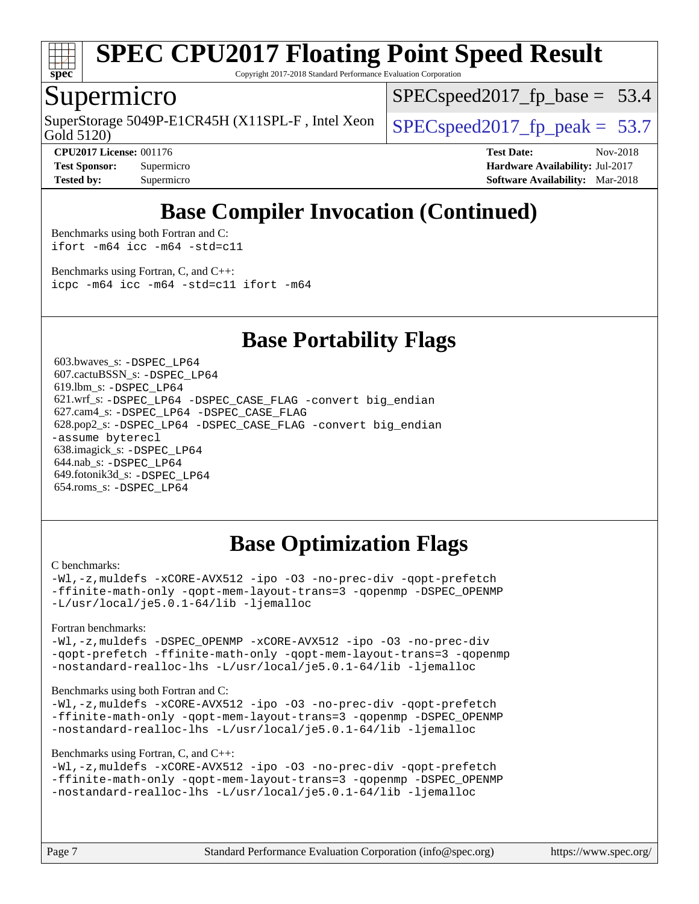

Copyright 2017-2018 Standard Performance Evaluation Corporation

## Supermicro

Gold 5120) SuperStorage 5049P-E1CR45H (X11SPL-F, Intel Xeon  $\Big|$  [SPECspeed2017\\_fp\\_peak =](http://www.spec.org/auto/cpu2017/Docs/result-fields.html#SPECspeed2017fppeak) 53.7

 $SPECspeed2017_fp\_base = 53.4$ 

**[Tested by:](http://www.spec.org/auto/cpu2017/Docs/result-fields.html#Testedby)** Supermicro **[Software Availability:](http://www.spec.org/auto/cpu2017/Docs/result-fields.html#SoftwareAvailability)** Mar-2018

**[CPU2017 License:](http://www.spec.org/auto/cpu2017/Docs/result-fields.html#CPU2017License)** 001176 **[Test Date:](http://www.spec.org/auto/cpu2017/Docs/result-fields.html#TestDate)** Nov-2018 **[Test Sponsor:](http://www.spec.org/auto/cpu2017/Docs/result-fields.html#TestSponsor)** Supermicro **[Hardware Availability:](http://www.spec.org/auto/cpu2017/Docs/result-fields.html#HardwareAvailability)** Jul-2017

## **[Base Compiler Invocation \(Continued\)](http://www.spec.org/auto/cpu2017/Docs/result-fields.html#BaseCompilerInvocation)**

[Benchmarks using both Fortran and C](http://www.spec.org/auto/cpu2017/Docs/result-fields.html#BenchmarksusingbothFortranandC): [ifort -m64](http://www.spec.org/cpu2017/results/res2018q4/cpu2017-20181127-09958.flags.html#user_CC_FCbase_intel_ifort_64bit_24f2bb282fbaeffd6157abe4f878425411749daecae9a33200eee2bee2fe76f3b89351d69a8130dd5949958ce389cf37ff59a95e7a40d588e8d3a57e0c3fd751) [icc -m64 -std=c11](http://www.spec.org/cpu2017/results/res2018q4/cpu2017-20181127-09958.flags.html#user_CC_FCbase_intel_icc_64bit_c11_33ee0cdaae7deeeab2a9725423ba97205ce30f63b9926c2519791662299b76a0318f32ddfffdc46587804de3178b4f9328c46fa7c2b0cd779d7a61945c91cd35)

[Benchmarks using Fortran, C, and C++:](http://www.spec.org/auto/cpu2017/Docs/result-fields.html#BenchmarksusingFortranCandCXX) [icpc -m64](http://www.spec.org/cpu2017/results/res2018q4/cpu2017-20181127-09958.flags.html#user_CC_CXX_FCbase_intel_icpc_64bit_4ecb2543ae3f1412ef961e0650ca070fec7b7afdcd6ed48761b84423119d1bf6bdf5cad15b44d48e7256388bc77273b966e5eb805aefd121eb22e9299b2ec9d9) [icc -m64 -std=c11](http://www.spec.org/cpu2017/results/res2018q4/cpu2017-20181127-09958.flags.html#user_CC_CXX_FCbase_intel_icc_64bit_c11_33ee0cdaae7deeeab2a9725423ba97205ce30f63b9926c2519791662299b76a0318f32ddfffdc46587804de3178b4f9328c46fa7c2b0cd779d7a61945c91cd35) [ifort -m64](http://www.spec.org/cpu2017/results/res2018q4/cpu2017-20181127-09958.flags.html#user_CC_CXX_FCbase_intel_ifort_64bit_24f2bb282fbaeffd6157abe4f878425411749daecae9a33200eee2bee2fe76f3b89351d69a8130dd5949958ce389cf37ff59a95e7a40d588e8d3a57e0c3fd751)

### **[Base Portability Flags](http://www.spec.org/auto/cpu2017/Docs/result-fields.html#BasePortabilityFlags)**

 603.bwaves\_s: [-DSPEC\\_LP64](http://www.spec.org/cpu2017/results/res2018q4/cpu2017-20181127-09958.flags.html#suite_basePORTABILITY603_bwaves_s_DSPEC_LP64) 607.cactuBSSN\_s: [-DSPEC\\_LP64](http://www.spec.org/cpu2017/results/res2018q4/cpu2017-20181127-09958.flags.html#suite_basePORTABILITY607_cactuBSSN_s_DSPEC_LP64) 619.lbm\_s: [-DSPEC\\_LP64](http://www.spec.org/cpu2017/results/res2018q4/cpu2017-20181127-09958.flags.html#suite_basePORTABILITY619_lbm_s_DSPEC_LP64) 621.wrf\_s: [-DSPEC\\_LP64](http://www.spec.org/cpu2017/results/res2018q4/cpu2017-20181127-09958.flags.html#suite_basePORTABILITY621_wrf_s_DSPEC_LP64) [-DSPEC\\_CASE\\_FLAG](http://www.spec.org/cpu2017/results/res2018q4/cpu2017-20181127-09958.flags.html#b621.wrf_s_baseCPORTABILITY_DSPEC_CASE_FLAG) [-convert big\\_endian](http://www.spec.org/cpu2017/results/res2018q4/cpu2017-20181127-09958.flags.html#user_baseFPORTABILITY621_wrf_s_convert_big_endian_c3194028bc08c63ac5d04de18c48ce6d347e4e562e8892b8bdbdc0214820426deb8554edfa529a3fb25a586e65a3d812c835984020483e7e73212c4d31a38223) 627.cam4\_s: [-DSPEC\\_LP64](http://www.spec.org/cpu2017/results/res2018q4/cpu2017-20181127-09958.flags.html#suite_basePORTABILITY627_cam4_s_DSPEC_LP64) [-DSPEC\\_CASE\\_FLAG](http://www.spec.org/cpu2017/results/res2018q4/cpu2017-20181127-09958.flags.html#b627.cam4_s_baseCPORTABILITY_DSPEC_CASE_FLAG) 628.pop2\_s: [-DSPEC\\_LP64](http://www.spec.org/cpu2017/results/res2018q4/cpu2017-20181127-09958.flags.html#suite_basePORTABILITY628_pop2_s_DSPEC_LP64) [-DSPEC\\_CASE\\_FLAG](http://www.spec.org/cpu2017/results/res2018q4/cpu2017-20181127-09958.flags.html#b628.pop2_s_baseCPORTABILITY_DSPEC_CASE_FLAG) [-convert big\\_endian](http://www.spec.org/cpu2017/results/res2018q4/cpu2017-20181127-09958.flags.html#user_baseFPORTABILITY628_pop2_s_convert_big_endian_c3194028bc08c63ac5d04de18c48ce6d347e4e562e8892b8bdbdc0214820426deb8554edfa529a3fb25a586e65a3d812c835984020483e7e73212c4d31a38223) [-assume byterecl](http://www.spec.org/cpu2017/results/res2018q4/cpu2017-20181127-09958.flags.html#user_baseFPORTABILITY628_pop2_s_assume_byterecl_7e47d18b9513cf18525430bbf0f2177aa9bf368bc7a059c09b2c06a34b53bd3447c950d3f8d6c70e3faf3a05c8557d66a5798b567902e8849adc142926523472) 638.imagick\_s: [-DSPEC\\_LP64](http://www.spec.org/cpu2017/results/res2018q4/cpu2017-20181127-09958.flags.html#suite_basePORTABILITY638_imagick_s_DSPEC_LP64) 644.nab\_s: [-DSPEC\\_LP64](http://www.spec.org/cpu2017/results/res2018q4/cpu2017-20181127-09958.flags.html#suite_basePORTABILITY644_nab_s_DSPEC_LP64) 649.fotonik3d\_s: [-DSPEC\\_LP64](http://www.spec.org/cpu2017/results/res2018q4/cpu2017-20181127-09958.flags.html#suite_basePORTABILITY649_fotonik3d_s_DSPEC_LP64) 654.roms\_s: [-DSPEC\\_LP64](http://www.spec.org/cpu2017/results/res2018q4/cpu2017-20181127-09958.flags.html#suite_basePORTABILITY654_roms_s_DSPEC_LP64)

## **[Base Optimization Flags](http://www.spec.org/auto/cpu2017/Docs/result-fields.html#BaseOptimizationFlags)**

#### [C benchmarks](http://www.spec.org/auto/cpu2017/Docs/result-fields.html#Cbenchmarks):

[-Wl,-z,muldefs](http://www.spec.org/cpu2017/results/res2018q4/cpu2017-20181127-09958.flags.html#user_CCbase_link_force_multiple1_b4cbdb97b34bdee9ceefcfe54f4c8ea74255f0b02a4b23e853cdb0e18eb4525ac79b5a88067c842dd0ee6996c24547a27a4b99331201badda8798ef8a743f577) [-xCORE-AVX512](http://www.spec.org/cpu2017/results/res2018q4/cpu2017-20181127-09958.flags.html#user_CCbase_f-xCORE-AVX512) [-ipo](http://www.spec.org/cpu2017/results/res2018q4/cpu2017-20181127-09958.flags.html#user_CCbase_f-ipo) [-O3](http://www.spec.org/cpu2017/results/res2018q4/cpu2017-20181127-09958.flags.html#user_CCbase_f-O3) [-no-prec-div](http://www.spec.org/cpu2017/results/res2018q4/cpu2017-20181127-09958.flags.html#user_CCbase_f-no-prec-div) [-qopt-prefetch](http://www.spec.org/cpu2017/results/res2018q4/cpu2017-20181127-09958.flags.html#user_CCbase_f-qopt-prefetch) [-ffinite-math-only](http://www.spec.org/cpu2017/results/res2018q4/cpu2017-20181127-09958.flags.html#user_CCbase_f_finite_math_only_cb91587bd2077682c4b38af759c288ed7c732db004271a9512da14a4f8007909a5f1427ecbf1a0fb78ff2a814402c6114ac565ca162485bbcae155b5e4258871) [-qopt-mem-layout-trans=3](http://www.spec.org/cpu2017/results/res2018q4/cpu2017-20181127-09958.flags.html#user_CCbase_f-qopt-mem-layout-trans_de80db37974c74b1f0e20d883f0b675c88c3b01e9d123adea9b28688d64333345fb62bc4a798493513fdb68f60282f9a726aa07f478b2f7113531aecce732043) [-qopenmp](http://www.spec.org/cpu2017/results/res2018q4/cpu2017-20181127-09958.flags.html#user_CCbase_qopenmp_16be0c44f24f464004c6784a7acb94aca937f053568ce72f94b139a11c7c168634a55f6653758ddd83bcf7b8463e8028bb0b48b77bcddc6b78d5d95bb1df2967) [-DSPEC\\_OPENMP](http://www.spec.org/cpu2017/results/res2018q4/cpu2017-20181127-09958.flags.html#suite_CCbase_DSPEC_OPENMP) [-L/usr/local/je5.0.1-64/lib](http://www.spec.org/cpu2017/results/res2018q4/cpu2017-20181127-09958.flags.html#user_CCbase_jemalloc_link_path64_4b10a636b7bce113509b17f3bd0d6226c5fb2346b9178c2d0232c14f04ab830f976640479e5c33dc2bcbbdad86ecfb6634cbbd4418746f06f368b512fced5394) [-ljemalloc](http://www.spec.org/cpu2017/results/res2018q4/cpu2017-20181127-09958.flags.html#user_CCbase_jemalloc_link_lib_d1249b907c500fa1c0672f44f562e3d0f79738ae9e3c4a9c376d49f265a04b9c99b167ecedbf6711b3085be911c67ff61f150a17b3472be731631ba4d0471706)

[Fortran benchmarks](http://www.spec.org/auto/cpu2017/Docs/result-fields.html#Fortranbenchmarks):

[-Wl,-z,muldefs](http://www.spec.org/cpu2017/results/res2018q4/cpu2017-20181127-09958.flags.html#user_FCbase_link_force_multiple1_b4cbdb97b34bdee9ceefcfe54f4c8ea74255f0b02a4b23e853cdb0e18eb4525ac79b5a88067c842dd0ee6996c24547a27a4b99331201badda8798ef8a743f577) [-DSPEC\\_OPENMP](http://www.spec.org/cpu2017/results/res2018q4/cpu2017-20181127-09958.flags.html#suite_FCbase_DSPEC_OPENMP) [-xCORE-AVX512](http://www.spec.org/cpu2017/results/res2018q4/cpu2017-20181127-09958.flags.html#user_FCbase_f-xCORE-AVX512) [-ipo](http://www.spec.org/cpu2017/results/res2018q4/cpu2017-20181127-09958.flags.html#user_FCbase_f-ipo) [-O3](http://www.spec.org/cpu2017/results/res2018q4/cpu2017-20181127-09958.flags.html#user_FCbase_f-O3) [-no-prec-div](http://www.spec.org/cpu2017/results/res2018q4/cpu2017-20181127-09958.flags.html#user_FCbase_f-no-prec-div) [-qopt-prefetch](http://www.spec.org/cpu2017/results/res2018q4/cpu2017-20181127-09958.flags.html#user_FCbase_f-qopt-prefetch) [-ffinite-math-only](http://www.spec.org/cpu2017/results/res2018q4/cpu2017-20181127-09958.flags.html#user_FCbase_f_finite_math_only_cb91587bd2077682c4b38af759c288ed7c732db004271a9512da14a4f8007909a5f1427ecbf1a0fb78ff2a814402c6114ac565ca162485bbcae155b5e4258871) [-qopt-mem-layout-trans=3](http://www.spec.org/cpu2017/results/res2018q4/cpu2017-20181127-09958.flags.html#user_FCbase_f-qopt-mem-layout-trans_de80db37974c74b1f0e20d883f0b675c88c3b01e9d123adea9b28688d64333345fb62bc4a798493513fdb68f60282f9a726aa07f478b2f7113531aecce732043) [-qopenmp](http://www.spec.org/cpu2017/results/res2018q4/cpu2017-20181127-09958.flags.html#user_FCbase_qopenmp_16be0c44f24f464004c6784a7acb94aca937f053568ce72f94b139a11c7c168634a55f6653758ddd83bcf7b8463e8028bb0b48b77bcddc6b78d5d95bb1df2967) [-nostandard-realloc-lhs](http://www.spec.org/cpu2017/results/res2018q4/cpu2017-20181127-09958.flags.html#user_FCbase_f_2003_std_realloc_82b4557e90729c0f113870c07e44d33d6f5a304b4f63d4c15d2d0f1fab99f5daaed73bdb9275d9ae411527f28b936061aa8b9c8f2d63842963b95c9dd6426b8a) [-L/usr/local/je5.0.1-64/lib](http://www.spec.org/cpu2017/results/res2018q4/cpu2017-20181127-09958.flags.html#user_FCbase_jemalloc_link_path64_4b10a636b7bce113509b17f3bd0d6226c5fb2346b9178c2d0232c14f04ab830f976640479e5c33dc2bcbbdad86ecfb6634cbbd4418746f06f368b512fced5394) [-ljemalloc](http://www.spec.org/cpu2017/results/res2018q4/cpu2017-20181127-09958.flags.html#user_FCbase_jemalloc_link_lib_d1249b907c500fa1c0672f44f562e3d0f79738ae9e3c4a9c376d49f265a04b9c99b167ecedbf6711b3085be911c67ff61f150a17b3472be731631ba4d0471706)

#### [Benchmarks using both Fortran and C](http://www.spec.org/auto/cpu2017/Docs/result-fields.html#BenchmarksusingbothFortranandC):

[-Wl,-z,muldefs](http://www.spec.org/cpu2017/results/res2018q4/cpu2017-20181127-09958.flags.html#user_CC_FCbase_link_force_multiple1_b4cbdb97b34bdee9ceefcfe54f4c8ea74255f0b02a4b23e853cdb0e18eb4525ac79b5a88067c842dd0ee6996c24547a27a4b99331201badda8798ef8a743f577) [-xCORE-AVX512](http://www.spec.org/cpu2017/results/res2018q4/cpu2017-20181127-09958.flags.html#user_CC_FCbase_f-xCORE-AVX512) [-ipo](http://www.spec.org/cpu2017/results/res2018q4/cpu2017-20181127-09958.flags.html#user_CC_FCbase_f-ipo) [-O3](http://www.spec.org/cpu2017/results/res2018q4/cpu2017-20181127-09958.flags.html#user_CC_FCbase_f-O3) [-no-prec-div](http://www.spec.org/cpu2017/results/res2018q4/cpu2017-20181127-09958.flags.html#user_CC_FCbase_f-no-prec-div) [-qopt-prefetch](http://www.spec.org/cpu2017/results/res2018q4/cpu2017-20181127-09958.flags.html#user_CC_FCbase_f-qopt-prefetch) [-ffinite-math-only](http://www.spec.org/cpu2017/results/res2018q4/cpu2017-20181127-09958.flags.html#user_CC_FCbase_f_finite_math_only_cb91587bd2077682c4b38af759c288ed7c732db004271a9512da14a4f8007909a5f1427ecbf1a0fb78ff2a814402c6114ac565ca162485bbcae155b5e4258871) [-qopt-mem-layout-trans=3](http://www.spec.org/cpu2017/results/res2018q4/cpu2017-20181127-09958.flags.html#user_CC_FCbase_f-qopt-mem-layout-trans_de80db37974c74b1f0e20d883f0b675c88c3b01e9d123adea9b28688d64333345fb62bc4a798493513fdb68f60282f9a726aa07f478b2f7113531aecce732043) [-qopenmp](http://www.spec.org/cpu2017/results/res2018q4/cpu2017-20181127-09958.flags.html#user_CC_FCbase_qopenmp_16be0c44f24f464004c6784a7acb94aca937f053568ce72f94b139a11c7c168634a55f6653758ddd83bcf7b8463e8028bb0b48b77bcddc6b78d5d95bb1df2967) [-DSPEC\\_OPENMP](http://www.spec.org/cpu2017/results/res2018q4/cpu2017-20181127-09958.flags.html#suite_CC_FCbase_DSPEC_OPENMP) [-nostandard-realloc-lhs](http://www.spec.org/cpu2017/results/res2018q4/cpu2017-20181127-09958.flags.html#user_CC_FCbase_f_2003_std_realloc_82b4557e90729c0f113870c07e44d33d6f5a304b4f63d4c15d2d0f1fab99f5daaed73bdb9275d9ae411527f28b936061aa8b9c8f2d63842963b95c9dd6426b8a) [-L/usr/local/je5.0.1-64/lib](http://www.spec.org/cpu2017/results/res2018q4/cpu2017-20181127-09958.flags.html#user_CC_FCbase_jemalloc_link_path64_4b10a636b7bce113509b17f3bd0d6226c5fb2346b9178c2d0232c14f04ab830f976640479e5c33dc2bcbbdad86ecfb6634cbbd4418746f06f368b512fced5394) [-ljemalloc](http://www.spec.org/cpu2017/results/res2018q4/cpu2017-20181127-09958.flags.html#user_CC_FCbase_jemalloc_link_lib_d1249b907c500fa1c0672f44f562e3d0f79738ae9e3c4a9c376d49f265a04b9c99b167ecedbf6711b3085be911c67ff61f150a17b3472be731631ba4d0471706)

#### [Benchmarks using Fortran, C, and C++:](http://www.spec.org/auto/cpu2017/Docs/result-fields.html#BenchmarksusingFortranCandCXX)

```
-Wl,-z,muldefs -xCORE-AVX512 -ipo -O3 -no-prec-div -qopt-prefetch
-ffinite-math-only -qopt-mem-layout-trans=3 -qopenmp -DSPEC_OPENMP
-nostandard-realloc-lhs -L/usr/local/je5.0.1-64/lib -ljemalloc
```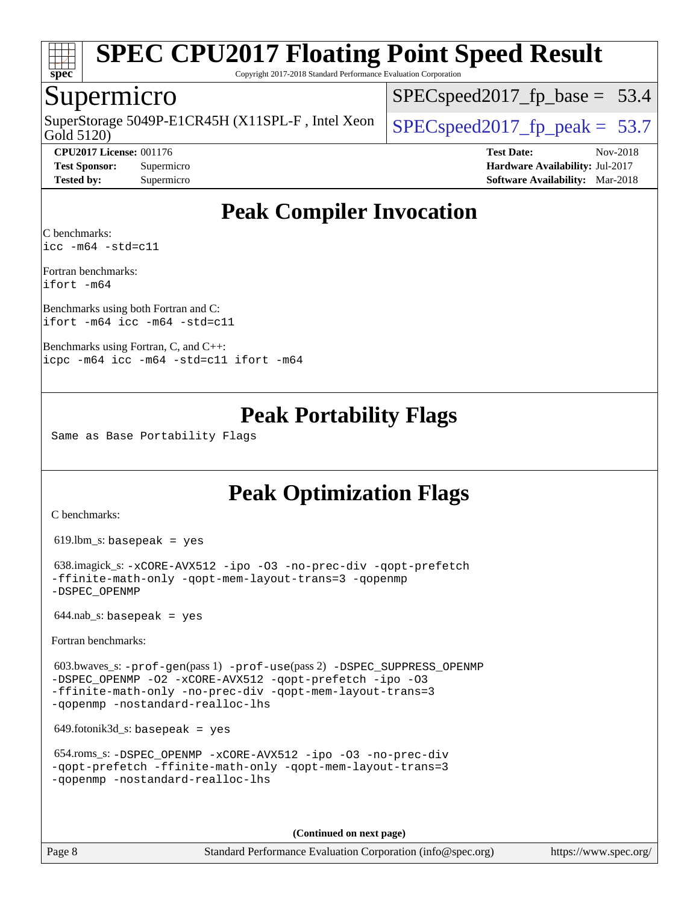

Copyright 2017-2018 Standard Performance Evaluation Corporation

## Supermicro

Gold 5120) SuperStorage 5049P-E1CR45H (X11SPL-F, Intel Xeon  $\Big|$  [SPECspeed2017\\_fp\\_peak =](http://www.spec.org/auto/cpu2017/Docs/result-fields.html#SPECspeed2017fppeak) 53.7

 $SPECspeed2017_fp\_base = 53.4$ 

**[Tested by:](http://www.spec.org/auto/cpu2017/Docs/result-fields.html#Testedby)** Supermicro **[Software Availability:](http://www.spec.org/auto/cpu2017/Docs/result-fields.html#SoftwareAvailability)** Mar-2018

**[CPU2017 License:](http://www.spec.org/auto/cpu2017/Docs/result-fields.html#CPU2017License)** 001176 **[Test Date:](http://www.spec.org/auto/cpu2017/Docs/result-fields.html#TestDate)** Nov-2018 **[Test Sponsor:](http://www.spec.org/auto/cpu2017/Docs/result-fields.html#TestSponsor)** Supermicro **[Hardware Availability:](http://www.spec.org/auto/cpu2017/Docs/result-fields.html#HardwareAvailability)** Jul-2017

## **[Peak Compiler Invocation](http://www.spec.org/auto/cpu2017/Docs/result-fields.html#PeakCompilerInvocation)**

[C benchmarks](http://www.spec.org/auto/cpu2017/Docs/result-fields.html#Cbenchmarks): [icc -m64 -std=c11](http://www.spec.org/cpu2017/results/res2018q4/cpu2017-20181127-09958.flags.html#user_CCpeak_intel_icc_64bit_c11_33ee0cdaae7deeeab2a9725423ba97205ce30f63b9926c2519791662299b76a0318f32ddfffdc46587804de3178b4f9328c46fa7c2b0cd779d7a61945c91cd35)

[Fortran benchmarks:](http://www.spec.org/auto/cpu2017/Docs/result-fields.html#Fortranbenchmarks) [ifort -m64](http://www.spec.org/cpu2017/results/res2018q4/cpu2017-20181127-09958.flags.html#user_FCpeak_intel_ifort_64bit_24f2bb282fbaeffd6157abe4f878425411749daecae9a33200eee2bee2fe76f3b89351d69a8130dd5949958ce389cf37ff59a95e7a40d588e8d3a57e0c3fd751)

[Benchmarks using both Fortran and C](http://www.spec.org/auto/cpu2017/Docs/result-fields.html#BenchmarksusingbothFortranandC): [ifort -m64](http://www.spec.org/cpu2017/results/res2018q4/cpu2017-20181127-09958.flags.html#user_CC_FCpeak_intel_ifort_64bit_24f2bb282fbaeffd6157abe4f878425411749daecae9a33200eee2bee2fe76f3b89351d69a8130dd5949958ce389cf37ff59a95e7a40d588e8d3a57e0c3fd751) [icc -m64 -std=c11](http://www.spec.org/cpu2017/results/res2018q4/cpu2017-20181127-09958.flags.html#user_CC_FCpeak_intel_icc_64bit_c11_33ee0cdaae7deeeab2a9725423ba97205ce30f63b9926c2519791662299b76a0318f32ddfffdc46587804de3178b4f9328c46fa7c2b0cd779d7a61945c91cd35)

[Benchmarks using Fortran, C, and C++](http://www.spec.org/auto/cpu2017/Docs/result-fields.html#BenchmarksusingFortranCandCXX): [icpc -m64](http://www.spec.org/cpu2017/results/res2018q4/cpu2017-20181127-09958.flags.html#user_CC_CXX_FCpeak_intel_icpc_64bit_4ecb2543ae3f1412ef961e0650ca070fec7b7afdcd6ed48761b84423119d1bf6bdf5cad15b44d48e7256388bc77273b966e5eb805aefd121eb22e9299b2ec9d9) [icc -m64 -std=c11](http://www.spec.org/cpu2017/results/res2018q4/cpu2017-20181127-09958.flags.html#user_CC_CXX_FCpeak_intel_icc_64bit_c11_33ee0cdaae7deeeab2a9725423ba97205ce30f63b9926c2519791662299b76a0318f32ddfffdc46587804de3178b4f9328c46fa7c2b0cd779d7a61945c91cd35) [ifort -m64](http://www.spec.org/cpu2017/results/res2018q4/cpu2017-20181127-09958.flags.html#user_CC_CXX_FCpeak_intel_ifort_64bit_24f2bb282fbaeffd6157abe4f878425411749daecae9a33200eee2bee2fe76f3b89351d69a8130dd5949958ce389cf37ff59a95e7a40d588e8d3a57e0c3fd751)

## **[Peak Portability Flags](http://www.spec.org/auto/cpu2017/Docs/result-fields.html#PeakPortabilityFlags)**

Same as Base Portability Flags

## **[Peak Optimization Flags](http://www.spec.org/auto/cpu2017/Docs/result-fields.html#PeakOptimizationFlags)**

[C benchmarks](http://www.spec.org/auto/cpu2017/Docs/result-fields.html#Cbenchmarks):

619.lbm\_s: basepeak = yes

 638.imagick\_s: [-xCORE-AVX512](http://www.spec.org/cpu2017/results/res2018q4/cpu2017-20181127-09958.flags.html#user_peakCOPTIMIZE638_imagick_s_f-xCORE-AVX512) [-ipo](http://www.spec.org/cpu2017/results/res2018q4/cpu2017-20181127-09958.flags.html#user_peakCOPTIMIZE638_imagick_s_f-ipo) [-O3](http://www.spec.org/cpu2017/results/res2018q4/cpu2017-20181127-09958.flags.html#user_peakCOPTIMIZE638_imagick_s_f-O3) [-no-prec-div](http://www.spec.org/cpu2017/results/res2018q4/cpu2017-20181127-09958.flags.html#user_peakCOPTIMIZE638_imagick_s_f-no-prec-div) [-qopt-prefetch](http://www.spec.org/cpu2017/results/res2018q4/cpu2017-20181127-09958.flags.html#user_peakCOPTIMIZE638_imagick_s_f-qopt-prefetch) [-ffinite-math-only](http://www.spec.org/cpu2017/results/res2018q4/cpu2017-20181127-09958.flags.html#user_peakCOPTIMIZE638_imagick_s_f_finite_math_only_cb91587bd2077682c4b38af759c288ed7c732db004271a9512da14a4f8007909a5f1427ecbf1a0fb78ff2a814402c6114ac565ca162485bbcae155b5e4258871) [-qopt-mem-layout-trans=3](http://www.spec.org/cpu2017/results/res2018q4/cpu2017-20181127-09958.flags.html#user_peakCOPTIMIZE638_imagick_s_f-qopt-mem-layout-trans_de80db37974c74b1f0e20d883f0b675c88c3b01e9d123adea9b28688d64333345fb62bc4a798493513fdb68f60282f9a726aa07f478b2f7113531aecce732043) [-qopenmp](http://www.spec.org/cpu2017/results/res2018q4/cpu2017-20181127-09958.flags.html#user_peakCOPTIMIZE638_imagick_s_qopenmp_16be0c44f24f464004c6784a7acb94aca937f053568ce72f94b139a11c7c168634a55f6653758ddd83bcf7b8463e8028bb0b48b77bcddc6b78d5d95bb1df2967) [-DSPEC\\_OPENMP](http://www.spec.org/cpu2017/results/res2018q4/cpu2017-20181127-09958.flags.html#suite_peakCOPTIMIZE638_imagick_s_DSPEC_OPENMP)

 $644.nab$ <sub>S</sub>: basepeak = yes

[Fortran benchmarks](http://www.spec.org/auto/cpu2017/Docs/result-fields.html#Fortranbenchmarks):

 603.bwaves\_s: [-prof-gen](http://www.spec.org/cpu2017/results/res2018q4/cpu2017-20181127-09958.flags.html#user_peakPASS1_FFLAGSPASS1_LDFLAGS603_bwaves_s_prof_gen_5aa4926d6013ddb2a31985c654b3eb18169fc0c6952a63635c234f711e6e63dd76e94ad52365559451ec499a2cdb89e4dc58ba4c67ef54ca681ffbe1461d6b36)(pass 1) [-prof-use](http://www.spec.org/cpu2017/results/res2018q4/cpu2017-20181127-09958.flags.html#user_peakPASS2_FFLAGSPASS2_LDFLAGS603_bwaves_s_prof_use_1a21ceae95f36a2b53c25747139a6c16ca95bd9def2a207b4f0849963b97e94f5260e30a0c64f4bb623698870e679ca08317ef8150905d41bd88c6f78df73f19)(pass 2) [-DSPEC\\_SUPPRESS\\_OPENMP](http://www.spec.org/cpu2017/results/res2018q4/cpu2017-20181127-09958.flags.html#suite_peakPASS1_FOPTIMIZE603_bwaves_s_DSPEC_SUPPRESS_OPENMP) [-DSPEC\\_OPENMP](http://www.spec.org/cpu2017/results/res2018q4/cpu2017-20181127-09958.flags.html#suite_peakPASS2_FOPTIMIZE603_bwaves_s_DSPEC_OPENMP) [-O2](http://www.spec.org/cpu2017/results/res2018q4/cpu2017-20181127-09958.flags.html#user_peakPASS1_FOPTIMIZE603_bwaves_s_f-O2) [-xCORE-AVX512](http://www.spec.org/cpu2017/results/res2018q4/cpu2017-20181127-09958.flags.html#user_peakPASS2_FOPTIMIZE603_bwaves_s_f-xCORE-AVX512) [-qopt-prefetch](http://www.spec.org/cpu2017/results/res2018q4/cpu2017-20181127-09958.flags.html#user_peakPASS1_FOPTIMIZEPASS2_FOPTIMIZE603_bwaves_s_f-qopt-prefetch) [-ipo](http://www.spec.org/cpu2017/results/res2018q4/cpu2017-20181127-09958.flags.html#user_peakPASS2_FOPTIMIZE603_bwaves_s_f-ipo) [-O3](http://www.spec.org/cpu2017/results/res2018q4/cpu2017-20181127-09958.flags.html#user_peakPASS2_FOPTIMIZE603_bwaves_s_f-O3) [-ffinite-math-only](http://www.spec.org/cpu2017/results/res2018q4/cpu2017-20181127-09958.flags.html#user_peakPASS1_FOPTIMIZEPASS2_FOPTIMIZE603_bwaves_s_f_finite_math_only_cb91587bd2077682c4b38af759c288ed7c732db004271a9512da14a4f8007909a5f1427ecbf1a0fb78ff2a814402c6114ac565ca162485bbcae155b5e4258871) [-no-prec-div](http://www.spec.org/cpu2017/results/res2018q4/cpu2017-20181127-09958.flags.html#user_peakPASS2_FOPTIMIZE603_bwaves_s_f-no-prec-div) [-qopt-mem-layout-trans=3](http://www.spec.org/cpu2017/results/res2018q4/cpu2017-20181127-09958.flags.html#user_peakPASS1_FOPTIMIZEPASS2_FOPTIMIZE603_bwaves_s_f-qopt-mem-layout-trans_de80db37974c74b1f0e20d883f0b675c88c3b01e9d123adea9b28688d64333345fb62bc4a798493513fdb68f60282f9a726aa07f478b2f7113531aecce732043) [-qopenmp](http://www.spec.org/cpu2017/results/res2018q4/cpu2017-20181127-09958.flags.html#user_peakPASS2_FOPTIMIZE603_bwaves_s_qopenmp_16be0c44f24f464004c6784a7acb94aca937f053568ce72f94b139a11c7c168634a55f6653758ddd83bcf7b8463e8028bb0b48b77bcddc6b78d5d95bb1df2967) [-nostandard-realloc-lhs](http://www.spec.org/cpu2017/results/res2018q4/cpu2017-20181127-09958.flags.html#user_peakEXTRA_FOPTIMIZE603_bwaves_s_f_2003_std_realloc_82b4557e90729c0f113870c07e44d33d6f5a304b4f63d4c15d2d0f1fab99f5daaed73bdb9275d9ae411527f28b936061aa8b9c8f2d63842963b95c9dd6426b8a)

649.fotonik3d\_s: basepeak = yes

```
 654.roms_s: -DSPEC_OPENMP -xCORE-AVX512 -ipo -O3 -no-prec-div
-qopt-prefetch -ffinite-math-only -qopt-mem-layout-trans=3
-qopenmp -nostandard-realloc-lhs
```
**(Continued on next page)**